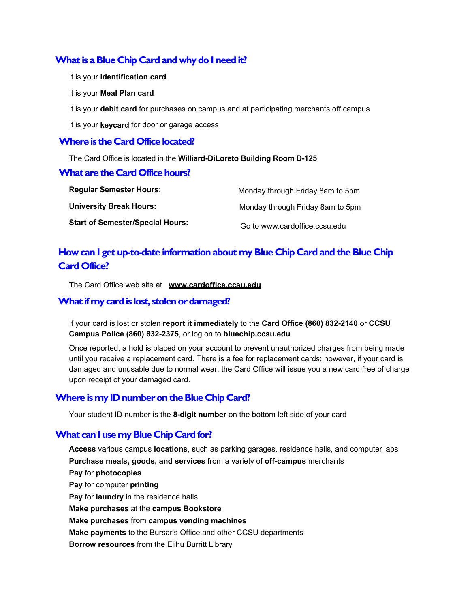## **What is a Blue Chip Card and why do I need it?**

- It is your **identification card**
- It is your **Meal Plan card**
- It is your **debit card** for purchases on campus and at participating merchants off campus
- It is your **keycard** for door or garage access

#### **Where is the Card Office located?**

The Card Office is located in the **Williard-DiLoreto Building Room D-125** 

#### **What are the Card Office hours?**

| <b>Regular Semester Hours:</b>          | Monday through Friday 8am to 5pm |
|-----------------------------------------|----------------------------------|
| <b>University Break Hours:</b>          | Monday through Friday 8am to 5pm |
| <b>Start of Semester/Special Hours:</b> | Go to www.cardoffice.ccsu.edu    |

# **How can I get up-to-date information about my Blue Chip Card and the Blue Chip Card Office?**

The Card Office web site at **www.cardoffice.ccsu.edu** 

### **What if my card is lost, stolen or damaged?**

If your card is lost or stolen **report it immediately** to the **Card Office (860) 832-2140** or **CCSU Campus Police (860) 832-2375**, or log on to **bluechip.ccsu.edu** 

Once reported, a hold is placed on your account to prevent unauthorized charges from being made until you receive a replacement card. There is a fee for replacement cards; however, if your card is damaged and unusable due to normal wear, the Card Office will issue you a new card free of charge upon receipt of your damaged card.

## **Where is my ID number on the Blue Chip Card?**

Your student ID number is the **8-digit number** on the bottom left side of your card

## **What can I use my Blue Chip Card for?**

**Access** various campus **locations**, such as parking garages, residence halls, and computer labs **Purchase meals, goods, and services** from a variety of **off-campus** merchants **Pay** for **photocopies Pay** for computer **printing Pay** for **laundry** in the residence halls **Make purchases** at the **campus Bookstore Make purchases** from **campus vending machines Make payments** to the Bursar's Office and other CCSU departments **Borrow resources** from the Elihu Burritt Library